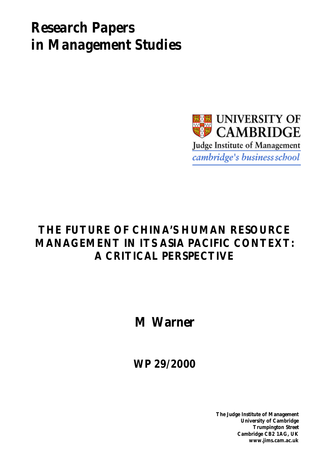# *Research Papers in Management Studies*



## **THE FUTURE OF CHINA'S HUMAN RESOURCE MANAGEMENT IN ITS ASIA PACIFIC CONTEXT: A CRITICAL PERSPECTIVE**

**M Warner**

**WP 29/2000**

**The Judge Institute of Management University of Cambridge Trumpington Street Cambridge CB2 1AG, UK www.jims.cam.ac.uk**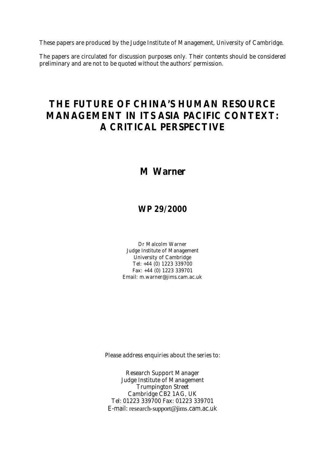These papers are produced by the Judge Institute of Management, University of Cambridge.

The papers are circulated for discussion purposes only. Their contents should be considered preliminary and are not to be quoted without the authors' permission.

### **THE FUTURE OF CHINA'S HUMAN RESOURCE MANAGEMENT IN ITS ASIA PACIFIC CONTEXT: A CRITICAL PERSPECTIVE**

### **M Warner**

### **WP 29/2000**

Dr Malcolm Warner Judge Institute of Management University of Cambridge Tel: +44 (0) 1223 339700 Fax: +44 (0) 1223 339701 Email: m.warner@jims.cam.ac.uk

Please address enquiries about the series to:

Research Support Manager Judge Institute of Management Trumpington Street Cambridge CB2 1AG, UK Tel: 01223 339700 Fax: 01223 339701 E-mail: research-support@jims.cam.ac.uk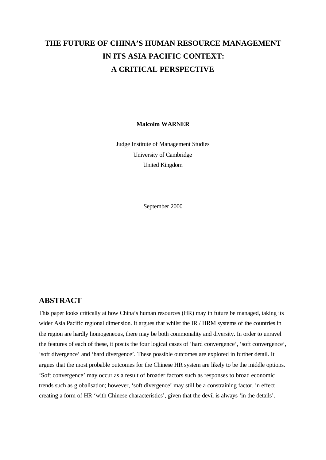### **THE FUTURE OF CHINA'S HUMAN RESOURCE MANAGEMENT IN ITS ASIA PACIFIC CONTEXT: A CRITICAL PERSPECTIVE**

#### **Malcolm WARNER**

Judge Institute of Management Studies University of Cambridge United Kingdom

September 2000

### **ABSTRACT**

This paper looks critically at how China's human resources (HR) may in future be managed, taking its wider Asia Pacific regional dimension. It argues that whilst the IR / HRM systems of the countries in the region are hardly homogeneous, there may be both commonality and diversity. In order to unravel the features of each of these, it posits the four logical cases of 'hard convergence', 'soft convergence', 'soft divergence' and 'hard divergence'. These possible outcomes are explored in further detail. It argues that the most probable outcomes for the Chinese HR system are likely to be the middle options. 'Soft convergence' may occur as a result of broader factors such as responses to broad economic trends such as globalisation; however, 'soft divergence' may still be a constraining factor, in effect creating a form of HR 'with Chinese characteristics', given that the devil is always 'in the details'.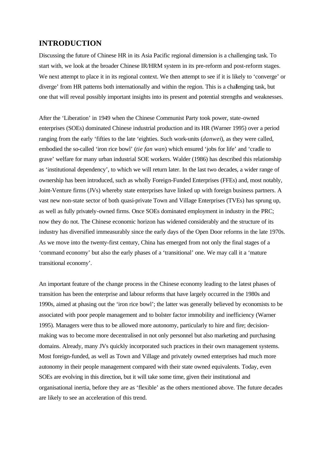### **INTRODUCTION**

Discussing the future of Chinese HR in its Asia Pacific regional dimension is a challenging task. To start with, we look at the broader Chinese IR/HRM system in its pre-reform and post-reform stages. We next attempt to place it in its regional context. We then attempt to see if it is likely to 'converge' or diverge' from HR patterns both internationally and within the region. This is a challenging task, but one that will reveal possibly important insights into its present and potential strengths and weaknesses.

After the 'Liberation' in 1949 when the Chinese Communist Party took power, state-owned enterprises (SOEs) dominated Chinese industrial production and its HR (Warner 1995) over a period ranging from the early 'fifties to the late 'eighties. Such work-units (*danwei*), as they were called, embodied the so-called 'iron rice bowl' (*tie fan wan*) which ensured 'jobs for life' and 'cradle to grave' welfare for many urban industrial SOE workers. Walder (1986) has described this relationship as 'institutional dependency', to which we will return later. In the last two decades, a wider range of ownership has been introduced, such as wholly Foreign-Funded Enterprises (FFEs) and, most notably, Joint-Venture firms (JVs) whereby state enterprises have linked up with foreign business partners. A vast new non-state sector of both quasi-private Town and Village Enterprises (TVEs) has sprung up, as well as fully privately-owned firms. Once SOEs dominated employment in industry in the PRC; now they do not. The Chinese economic horizon has widened considerably and the structure of its industry has diversified immeasurably since the early days of the Open Door reforms in the late 1970s. As we move into the twenty-first century, China has emerged from not only the final stages of a 'command economy' but also the early phases of a 'transitional' one. We may call it a 'mature transitional economy'.

An important feature of the change process in the Chinese economy leading to the latest phases of transition has been the enterprise and labour reforms that have largely occurred in the 1980s and 1990s, aimed at phasing out the 'iron rice bowl'; the latter was generally believed by economists to be associated with poor people management and to bolster factor immobility and inefficiency (Warner 1995). Managers were thus to be allowed more autonomy, particularly to hire and fire; decisionmaking was to become more decentralised in not only personnel but also marketing and purchasing domains. Already, many JVs quickly incorporated such practices in their own management systems. Most foreign-funded, as well as Town and Village and privately owned enterprises had much more autonomy in their people management compared with their state owned equivalents. Today, even SOEs are evolving in this direction, but it will take some time, given their institutional and organisational inertia, before they are as 'flexible' as the others mentioned above. The future decades are likely to see an acceleration of this trend.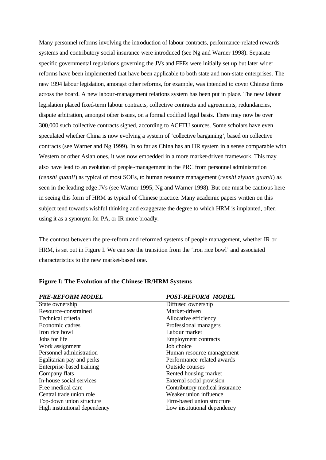Many personnel reforms involving the introduction of labour contracts, performance-related rewards systems and contributory social insurance were introduced (see Ng and Warner 1998). Separate specific governmental regulations governing the JVs and FFEs were initially set up but later wider reforms have been implemented that have been applicable to both state and non-state enterprises. The new 1994 labour legislation, amongst other reforms, for example, was intended to cover Chinese firms across the board. A new labour-management relations system has been put in place. The new labour legislation placed fixed-term labour contracts, collective contracts and agreements, redundancies, dispute arbitration, amongst other issues, on a formal codified legal basis. There may now be over 300,000 such collective contracts signed, according to ACFTU sources. Some scholars have even speculated whether China is now evolving a system of 'collective bargaining', based on collective contracts (see Warner and Ng 1999). In so far as China has an HR system in a sense comparable with Western or other Asian ones, it was now embedded in a more market-driven framework. This may also have lead to an evolution of people-management in the PRC from personnel administration (*renshi guanli*) as typical of most SOEs, to human resource management (*renshi ziyuan guanli*) as seen in the leading edge JVs (see Warner 1995; Ng and Warner 1998). But one must be cautious here in seeing this form of HRM as typical of Chinese practice. Many academic papers written on this subject tend towards wishful thinking and exaggerate the degree to which HRM is implanted, often using it as a synonym for PA, or IR more broadly.

The contrast between the pre-reform and reformed systems of people management, whether IR or HRM, is set out in Figure I. We can see the transition from the 'iron rice bowl' and associated characteristics to the new market-based one.

| <b>PRE-REFORM MODEL</b>       | <b>POST-REFORM MODEL</b>       |
|-------------------------------|--------------------------------|
| State ownership               | Diffused ownership             |
| Resource-constrained          | Market-driven                  |
| Technical criteria            | Allocative efficiency          |
| Economic cadres               | Professional managers          |
| Iron rice bowl                | Labour market                  |
| Jobs for life                 | <b>Employment contracts</b>    |
| Work assignment               | Job choice                     |
| Personnel administration      | Human resource management      |
| Egalitarian pay and perks     | Performance-related awards     |
| Enterprise-based training     | Outside courses                |
| Company flats                 | Rented housing market          |
| In-house social services      | External social provision      |
| Free medical care             | Contributory medical insurance |
| Central trade union role      | Weaker union influence         |
| Top-down union structure      | Firm-based union structure     |
| High institutional dependency | Low institutional dependency   |

#### **Figure I: The Evolution of the Chinese IR/HRM Systems**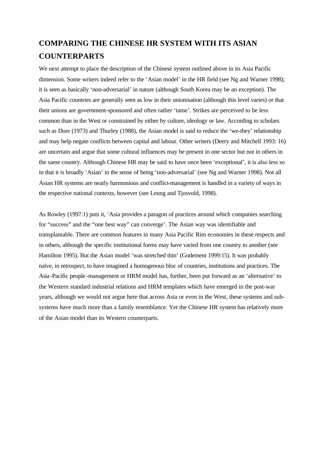### **COMPARING THE CHINESE HR SYSTEM WITH ITS ASIAN COUNTERPARTS**

We next attempt to place the description of the Chinese system outlined above in its Asia Pacific dimension. Some writers indeed refer to the 'Asian model' in the HR field (see Ng and Warner 1998); it is seen as basically 'non-adversarial' in nature (although South Korea may be an exception). The Asia Pacific countries are generally seen as low in their unionisation (although this level varies) or that their unions are government-sponsored and often rather 'tame'. Strikes are perceived to be less common than in the West or constrained by either by culture, ideology or law. According to scholars such as Dore (1973) and Thurley (1988), the Asian model is said to reduce the 'we-they' relationship and may help negate conflicts between capital and labour. Other writers (Deery and Mitchell 1993: 16) are uncertain and argue that some cultural influences may be present in one sector but not in others in the same country. Although Chinese HR may be said to have once been 'exceptional', it is also less so in that it is broadly 'Asian' in the sense of being 'non-adversarial' (see Ng and Warner 1998). Not all Asian HR systems are neatly harmonious and conflict-management is handled in a variety of ways in the respective national contexts, however (see Leung and Tjosvold, 1998).

As Rowley (1997:1) puts it, 'Asia provides a paragon of practices around which companies searching for "success" and the "one best way" can converge'. The Asian way was identifiable and transplantable. There are common features in many Asia Pacific Rim economies in these respects and in others, although the specific institutional forms may have varied from one country to another (see Hamilton 1995). But the Asian model 'was stretched thin' (Godement 1999:15). It was probably naïve, in retrospect, to have imagined a homogenous bloc of countries, institutions and practices. The Asia-Pacific people-management or HRM model has, further, been put forward as an 'alternative' to the Western standard industrial relations and HRM templates which have emerged in the post-war years, although we would not argue here that across Asia or even in the West, these systems and subsystems have much more than a family resemblance. Yet the Chinese HR system has relatively more of the Asian model than its Western counterparts.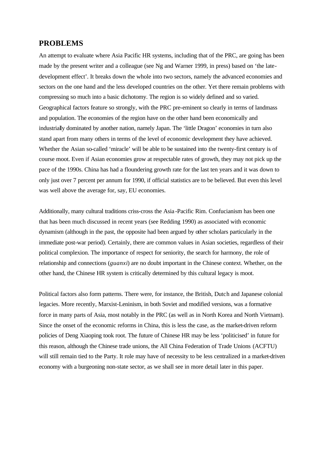### **PROBLEMS**

An attempt to evaluate where Asia Pacific HR systems, including that of the PRC, are going has been made by the present writer and a colleague (see Ng and Warner 1999, in press) based on 'the latedevelopment effect'. It breaks down the whole into two sectors, namely the advanced economies and sectors on the one hand and the less developed countries on the other. Yet there remain problems with compressing so much into a basic dichotomy. The region is so widely defined and so varied. Geographical factors feature so strongly, with the PRC pre-eminent so clearly in terms of landmass and population. The economies of the region have on the other hand been economically and industrially dominated by another nation, namely Japan. The 'little Dragon' economies in turn also stand apart from many others in terms of the level of economic development they have achieved. Whether the Asian so-called 'miracle' will be able to be sustained into the twenty-first century is of course moot. Even if Asian economies grow at respectable rates of growth, they may not pick up the pace of the 1990s. China has had a floundering growth rate for the last ten years and it was down to only just over 7 percent per annum for 1990, if official statistics are to be believed. But even this level was well above the average for, say, EU economies.

Additionally, many cultural traditions criss-cross the Asia -Pacific Rim. Confucianism has been one that has been much discussed in recent years (see Redding 1990) as associated with economic dynamism (although in the past, the opposite had been argued by other scholars particularly in the immediate post-war period). Certainly, there are common values in Asian societies, regardless of their political complexion. The importance of respect for seniority, the search for harmony, the role of relationship and connections (*guanxi*) are no doubt important in the Chinese context. Whether, on the other hand, the Chinese HR system is critically determined by this cultural legacy is moot.

Political factors also form patterns. There were, for instance, the British, Dutch and Japanese colonial legacies. More recently, Marxist-Leninism, in both Soviet and modified versions, was a formative force in many parts of Asia, most notably in the PRC (as well as in North Korea and North Vietnam). Since the onset of the economic reforms in China, this is less the case, as the market-driven reform policies of Deng Xiaoping took root. The future of Chinese HR may be less 'politicised' in future for this reason, although the Chinese trade unions, the All China Federation of Trade Unions (ACFTU) will still remain tied to the Party. It role may have of necessity to be less centralized in a market-driven economy with a burgeoning non-state sector, as we shall see in more detail later in this paper.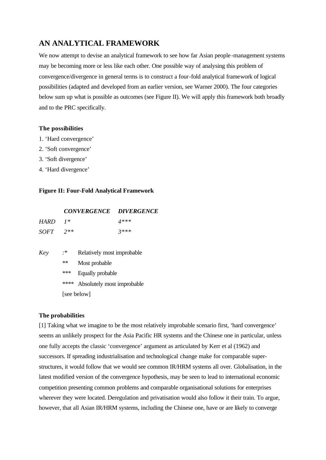### **AN ANALYTICAL FRAMEWORK**

We now attempt to devise an analytical framework to see how far Asian people -management systems may be becoming more or less like each other. One possible way of analysing this problem of convergence/divergence in general terms is to construct a four-fold analytical framework of logical possibilities (adapted and developed from an earlier version, see Warner 2000). The four categories below sum up what is possible as outcomes (see Figure II). We will apply this framework both broadly and to the PRC specifically.

#### **The possibilities**

- 1. 'Hard convergence'
- 2. 'Soft convergence'
- 3. 'Soft divergence'
- 4. 'Hard divergence'

#### **Figure II: Four-Fold Analytical Framework**

| <b>CONVERGENCE</b> | <b>DIVERGENCE</b> |
|--------------------|-------------------|
|                    |                   |

| <b>HARD</b> | $1*$  | $4***$ |
|-------------|-------|--------|
| <i>SOFT</i> | $2**$ | $3***$ |

*Key :*\* Relatively most improbable \*\* Most probable \*\*\* Equally probable \*\*\*\* Absolutely most improbable

[see below]

### **The probabilities**

[1] Taking what we imagine to be the most relatively improbable scenario first, 'hard convergence' seems an unlikely prospect for the Asia Pacific HR systems and the Chinese one in particular, unless one fully accepts the classic 'convergence' argument as articulated by Kerr et al (1962) and successors. If spreading industrialisation and technological change make for comparable superstructures, it would follow that we would see common IR/HRM systems all over. Globalisation, in the latest modified version of the convergence hypothesis, may be seen to lead to international economic competition presenting common problems and comparable organisational solutions for enterprises wherever they were located. Deregulation and privatisation would also follow it their train. To argue, however, that all Asian IR/HRM systems, including the Chinese one, have or are likely to converge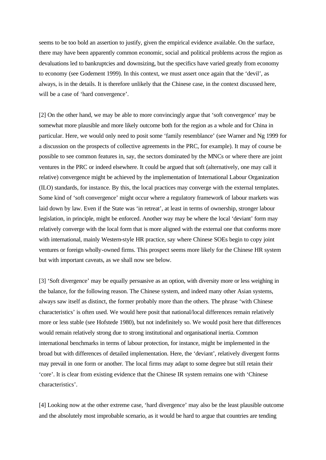seems to be too bold an assertion to justify, given the empirical evidence available. On the surface, there may have been apparently common economic, social and political problems across the region as devaluations led to bankruptcies and downsizing, but the specifics have varied greatly from economy to economy (see Godement 1999). In this context, we must assert once again that the 'devil', as always, is in the details. It is therefore unlikely that the Chinese case, in the context discussed here, will be a case of 'hard convergence'.

[2] On the other hand, we may be able to more convincingly argue that 'soft convergence' may be somewhat more plausible and more likely outcome both for the region as a whole and for China in particular. Here, we would only need to posit some 'family resemblance' (see Warner and Ng 1999 for a discussion on the prospects of collective agreements in the PRC, for example). It may of course be possible to see common features in, say, the sectors dominated by the MNCs or where there are joint ventures in the PRC or indeed elsewhere. It could be argued that soft (alternatively, one may call it relative) convergence might be achieved by the implementation of International Labour Organization (ILO) standards, for instance. By this, the local practices may converge with the external templates. Some kind of 'soft convergence' might occur where a regulatory framework of labour markets was laid down by law. Even if the State was 'in retreat', at least in terms of ownership, stronger labour legislation, in principle, might be enforced. Another way may be where the local 'deviant' form may relatively converge with the local form that is more aligned with the external one that conforms more with international, mainly Western-style HR practice, say where Chinese SOEs begin to copy joint ventures or foreign wholly-owned firms. This prospect seems more likely for the Chinese HR system but with important caveats, as we shall now see below.

[3] 'Soft divergence' may be equally persuasive as an option, with diversity more or less weighing in the balance, for the following reason. The Chinese system, and indeed many other Asian systems, always saw itself as distinct, the former probably more than the others. The phrase 'with Chinese characteristics' is often used. We would here posit that national/local differences remain relatively more or less stable (see Hofstede 1980), but not indefinitely so. We would posit here that differences would remain relatively strong due to strong institutional and organisational inertia. Common international benchmarks in terms of labour protection, for instance, might be implemented in the broad but with differences of detailed implementation. Here, the 'deviant', relatively divergent forms may prevail in one form or another. The local firms may adapt to some degree but still retain their 'core'. It is clear from existing evidence that the Chinese IR system remains one with 'Chinese characteristics'.

[4] Looking now at the other extreme case, 'hard divergence' may also be the least plausible outcome and the absolutely most improbable scenario, as it would be hard to argue that countries are tending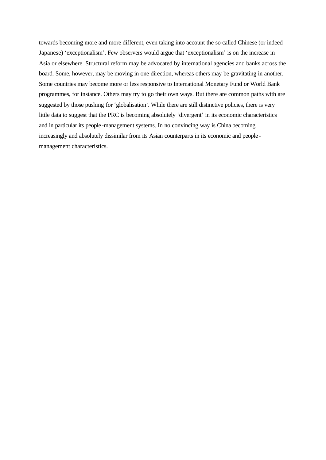towards becoming more and more different, even taking into account the so-called Chinese (or indeed Japanese) 'exceptionalism'. Few observers would argue that 'exceptionalism' is on the increase in Asia or elsewhere. Structural reform may be advocated by international agencies and banks across the board. Some, however, may be moving in one direction, whereas others may be gravitating in another. Some countries may become more or less responsive to International Monetary Fund or World Bank programmes, for instance. Others may try to go their own ways. But there are common paths with are suggested by those pushing for 'globalisation'. While there are still distinctive policies, there is very little data to suggest that the PRC is becoming absolutely 'divergent' in its economic characteristics and in particular its people-management systems. In no convincing way is China becoming increasingly and absolutely dissimilar from its Asian counterparts in its economic and peoplemanagement characteristics.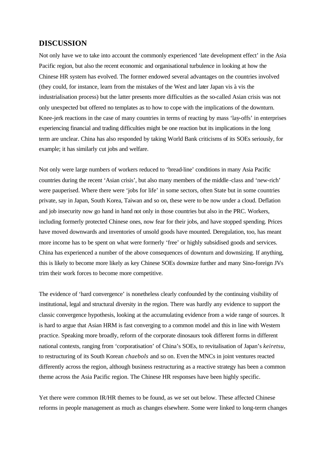### **DISCUSSION**

Not only have we to take into account the commonly experienced 'late development effect' in the Asia Pacific region, but also the recent economic and organisational turbulence in looking at how the Chinese HR system has evolved. The former endowed several advantages on the countries involved (they could, for instance, learn from the mistakes of the West and later Japan vis à vis the industrialisation process) but the latter presents more difficulties as the so-called Asian crisis was not only unexpected but offered no templates as to how to cope with the implications of the downturn. Knee-jerk reactions in the case of many countries in terms of reacting by mass 'lay-offs' in enterprises experiencing financial and trading difficulties might be one reaction but its implications in the long term are unclear. China has also responded by taking World Bank criticisms of its SOEs seriously, for example; it has similarly cut jobs and welfare.

Not only were large numbers of workers reduced to 'bread-line' conditions in many Asia Pacific countries during the recent 'Asian crisis', but also many members of the middle -class and 'new-rich' were pauperised. Where there were 'jobs for life' in some sectors, often State but in some countries private, say in Japan, South Korea, Taiwan and so on, these were to be now under a cloud. Deflation and job insecurity now go hand in hand not only in those countries but also in the PRC. Workers, including formerly protected Chinese ones, now fear for their jobs, and have stopped spending. Prices have moved downwards and inventories of unsold goods have mounted. Deregulation, too, has meant more income has to be spent on what were formerly 'free' or highly subsidised goods and services. China has experienced a number of the above consequences of downturn and downsizing. If anything, this is likely to become more likely as key Chinese SOEs downsize further and many Sino-foreign JVs trim their work forces to become more competitive.

The evidence of 'hard convergence' is nonetheless clearly confounded by the continuing visibility of institutional, legal and structural diversity in the region. There was hardly any evidence to support the classic convergence hypothesis, looking at the accumulating evidence from a wide range of sources. It is hard to argue that Asian HRM is fast converging to a common model and this in line with Western practice. Speaking more broadly, reform of the corporate dinosaurs took different forms in different national contexts, ranging from 'corporatisation' of China's SOEs, to revitalisation of Japan's *keiretsu*, to restructuring of its South Korean *chaebols* and so on. Even the MNCs in joint ventures reacted differently across the region, although business restructuring as a reactive strategy has been a common theme across the Asia Pacific region. The Chinese HR responses have been highly specific.

Yet there were common IR/HR themes to be found, as we set out below. These affected Chinese reforms in people management as much as changes elsewhere. Some were linked to long-term changes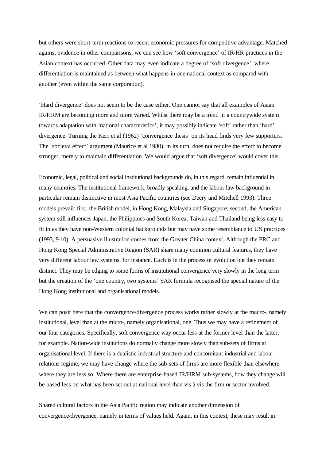but others were short-term reactions to recent economic pressures for competitive advantage. Matched against evidence in other comparisons, we can see how 'soft convergence' of IR/HR practices in the Asian context has occurred. Other data may even indicate a degree of 'soft divergence', where differentiation is maintained as between what happens in one national context as compared with another (even within the same corporation).

'Hard divergence' does not seem to be the case either. One cannot say that all examples of Asian IR/HRM are becoming more and more varied. Whilst there may be a trend in a countrywide system towards adaptation with 'national characteristics', it may possibly indicate 'soft' rather than 'hard' divergence. Turning the Kerr et al (1962) 'convergence thesis' on its head finds very few supporters. The 'societal effect' argument (Maurice et al 1980), in its turn, does not require the effect to become stronger, merely to maintain differentiation. We would argue that 'soft divergence' would cover this.

Economic, legal, political and social institutional backgrounds do, in this regard, remain influential in many countries. The institutional framework, broadly speaking, and the labour law background in particular remain distinctive in most Asia Pacific countries (see Deery and Mitchell 1993). Three models prevail: first, the British model, in Hong Kong, Malaysia and Singapore; second, the American system still influences Japan, the Philippines and South Korea; Taiwan and Thailand being less easy to fit in as they have non-Western colonial backgrounds but may have some resemblance to US practices (1993, 9-10). A persuasive illustration comes from the Greater China context. Although the PRC and Hong Kong Special Administrative Region (SAR) share many common cultural features, they have very different labour law systems, for instance. Each is in the process of evolution but they remain distinct. They may be edging to some forms of institutional convergence very slowly in the long term but the creation of the 'one country, two systems' SAR formula recognised the special nature of the Hong Kong institutional and organisational models.

We can posit here that the convergence/divergence process works rather slowly at the macro-, namely institutional, level than at the micro-, namely organisational, one. Thus we may have a refinement of our four categories. Specifically, soft convergence way occur less at the former level than the latter, for example. Nation-wide institutions do normally change more slowly than sub-sets of firms at organisational level. If there is a dualistic industrial structure and concomitant industrial and labour relations regime, we may have change where the sub-sets of firms are more flexible than elsewhere where they are less so. Where there are enterprise-based IR/HRM sub-systems, how they change will be based less on what has been set out at national level than vis à vis the firm or sector involved.

Shared cultural factors in the Asia Pacific region may indicate another dimension of convergence/divergence, namely in terms of values held. Again, in this context, these may result in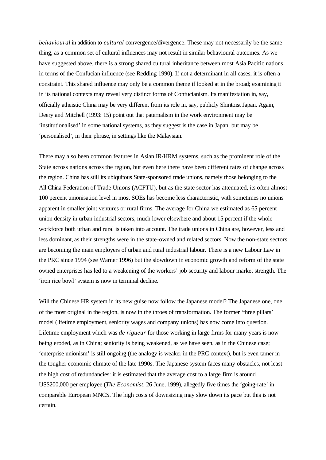*behavioural* in addition to *cultural* convergence/divergence. These may not necessarily be the same thing, as a common set of cultural influences may not result in similar behavioural outcomes. As we have suggested above, there is a strong shared cultural inheritance between most Asia Pacific nations in terms of the Confucian influence (see Redding 1990). If not a determinant in all cases, it is often a constraint. This shared influence may only be a common theme if looked at in the broad; examining it in its national contexts may reveal very distinct forms of Confucianism. Its manifestation in, say, officially atheistic China may be very different from its role in, say, publicly Shintoist Japan. Again, Deery and Mitchell (1993: 15) point out that paternalism in the work environment may be 'institutionalised' in some national systems, as they suggest is the case in Japan, but may be 'personalised', in their phrase, in settings like the Malaysian.

There may also been common features in Asian IR/HRM systems, such as the prominent role of the State across nations across the region, but even here there have been different rates of change across the region. China has still its ubiquitous State-sponsored trade unions, namely those belonging to the All China Federation of Trade Unions (ACFTU), but as the state sector has attenuated, its often almost 100 percent unionisation level in most SOEs has become less characteristic, with sometimes no unions apparent in smaller joint ventures or rural firms. The average for China we estimated as 65 percent union density in urban industrial sectors, much lower elsewhere and about 15 percent if the whole workforce both urban and rural is taken into account. The trade unions in China are, however, less and less dominant, as their strengths were in the state-owned and related sectors. Now the non-state sectors are becoming the main employers of urban and rural industrial labour. There is a new Labour Law in the PRC since 1994 (see Warner 1996) but the slowdown in economic growth and reform of the state owned enterprises has led to a weakening of the workers' job security and labour market strength. The 'iron rice bowl' system is now in terminal decline.

Will the Chinese HR system in its new guise now follow the Japanese model? The Japanese one, one of the most original in the region, is now in the throes of transformation. The former 'three pillars' model (lifetime employment, seniority wages and company unions) has now come into question. Lifetime employment which was *de rigueur* for those working in large firms for many years is now being eroded, as in China; seniority is being weakened, as we have seen, as in the Chinese case; 'enterprise unionism' is still ongoing (the analogy is weaker in the PRC context), but is even tamer in the tougher economic climate of the late 1990s. The Japanese system faces many obstacles, not least the high cost of redundancies: it is estimated that the average cost to a large firm is around US\$200,000 per employee (*The Economist*, 26 June, 1999), allegedly five times the 'going-rate' in comparable European MNCS. The high costs of downsizing may slow down its pace but this is not certain.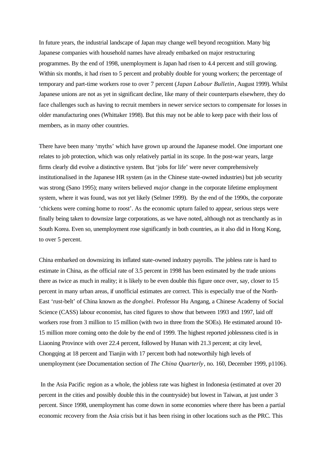In future years, the industrial landscape of Japan may change well beyond recognition. Many big Japanese companies with household names have already embarked on major restructuring programmes. By the end of 1998, unemployment is Japan had risen to 4.4 percent and still growing. Within six months, it had risen to 5 percent and probably double for young workers; the percentage of temporary and part-time workers rose to over 7 percent (*Japan Labour Bulletin*, August 1999). Whilst Japanese unions are not as yet in significant decline, like many of their counterparts elsewhere, they do face challenges such as having to recruit members in newer service sectors to compensate for losses in older manufacturing ones (Whittaker 1998). But this may not be able to keep pace with their loss of members, as in many other countries.

There have been many 'myths' which have grown up around the Japanese model. One important one relates to job protection, which was only relatively partial in its scope. In the post-war years, large firms clearly did evolve a distinctive system. But 'jobs for life' were never comprehensively institutionalised in the Japanese HR system (as in the Chinese state-owned industries) but job security was strong (Sano 1995); many writers believed *major* change in the corporate lifetime employment system, where it was found, was not yet likely (Selmer 1999). By the end of the 1990s, the corporate 'chickens were coming home to roost'. As the economic upturn failed to appear, serious steps were finally being taken to downsize large corporations, as we have noted, although not as trenchantly as in South Korea. Even so, unemployment rose significantly in both countries, as it also did in Hong Kong, to over 5 percent.

China embarked on downsizing its inflated state-owned industry payrolls. The jobless rate is hard to estimate in China, as the official rate of 3.5 percent in 1998 has been estimated by the trade unions there as twice as much in reality; it is likely to be even double this figure once over, say, closer to 15 percent in many urban areas, if unofficial estimates are correct. This is especially true of the North-East 'rust-belt' of China known as the *dongbei.* Professor Hu Angang, a Chinese Academy of Social Science (CASS) labour economist, has cited figures to show that between 1993 and 1997, laid off workers rose from 3 million to 15 million (with two in three from the SOEs). He estimated around 10- 15 million more coming onto the dole by the end of 1999. The highest reported joblessness cited is in Liaoning Province with over 22.4 percent, followed by Hunan with 21.3 percent; at city level, Chongqing at 18 percent and Tianjin with 17 percent both had noteworthily high levels of unemployment (see Documentation section of *The China Quarterly*, no. 160, December 1999, p1106).

 In the Asia Pacific region as a whole, the jobless rate was highest in Indonesia (estimated at over 20 percent in the cities and possibly double this in the countryside) but lowest in Taiwan, at just under 3 percent. Since 1998, unemployment has come down in some economies where there has been a partial economic recovery from the Asia crisis but it has been rising in other locations such as the PRC. This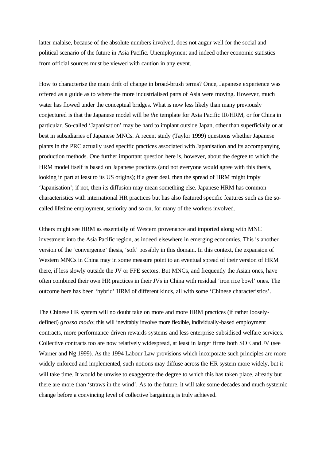latter malaise, because of the absolute numbers involved, does not augur well for the social and political scenario of the future in Asia Pacific. Unemployment and indeed other economic statistics from official sources must be viewed with caution in any event.

How to characterise the main drift of change in broad-brush terms? Once, Japanese experience was offered as a guide as to where the more industrialised parts of Asia were moving. However, much water has flowed under the conceptual bridges. What is now less likely than many previously conjectured is that the Japanese model will be *the* template for Asia Pacific IR/HRM, or for China in particular. So-called 'Japanisation' may be hard to implant outside Japan, other than superficially or at best in subsidiaries of Japanese MNCs. A recent study (Taylor 1999) questions whether Japanese plants in the PRC actually used specific practices associated with Japanisation and its accompanying production methods. One further important question here is, however, about the degree to which the HRM model itself is based on Japanese practices (and not everyone would agree with this thesis, looking in part at least to its US origins); if a great deal, then the spread of HRM might imply 'Japanisation'; if not, then its diffusion may mean something else. Japanese HRM has common characteristics with international HR practices but has also featured specific features such as the socalled lifetime employment, seniority and so on, for many of the workers involved.

Others might see HRM as essentially of Western provenance and imported along with MNC investment into the Asia Pacific region, as indeed elsewhere in emerging economies. This is another version of the 'convergence' thesis, 'soft' possibly in this domain. In this context, the expansion of Western MNCs in China may in some measure point to an eventual spread of their version of HRM there, if less slowly outside the JV or FFE sectors. But MNCs, and frequently the Asian ones, have often combined their own HR practices in their JVs in China with residual 'iron rice bowl' ones. The outcome here has been 'hybrid' HRM of different kinds, all with some 'Chinese characteristics'.

The Chinese HR system will no doubt take on more and more HRM practices (if rather looselydefined) *grosso modo*; this will inevitably involve more flexible, individually-based employment contracts, more performance-driven rewards systems and less enterprise-subsidised welfare services. Collective contracts too are now relatively widespread, at least in larger firms both SOE and JV (see Warner and Ng 1999). As the 1994 Labour Law provisions which incorporate such principles are more widely enforced and implemented, such notions may diffuse across the HR system more widely, but it will take time. It would be unwise to exaggerate the degree to which this has taken place, already but there are more than 'straws in the wind'. As to the future, it will take some decades and much systemic change before a convincing level of collective bargaining is truly achieved.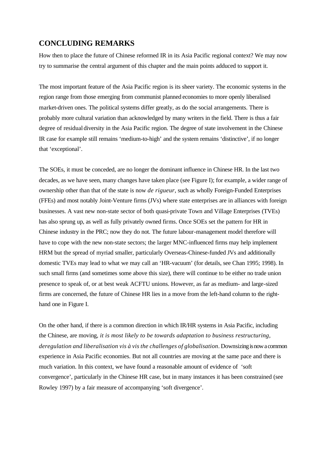### **CONCLUDING REMARKS**

How then to place the future of Chinese reformed IR in its Asia Pacific regional context? We may now try to summarise the central argument of this chapter and the main points adduced to support it.

The most important feature of the Asia Pacific region is its sheer variety. The economic systems in the region range from those emerging from communist planned economies to more openly liberalised market-driven ones. The political systems differ greatly, as do the social arrangements. There is probably more cultural variation than acknowledged by many writers in the field. There is thus a fair degree of residual diversity in the Asia Pacific region. The degree of state involvement in the Chinese IR case for example still remains 'medium-to-high' and the system remains 'distinctive', if no longer that 'exceptional'.

The SOEs, it must be conceded, are no longer the dominant influence in Chinese HR. In the last two decades, as we have seen, many changes have taken place (see Figure I); for example, a wider range of ownership other than that of the state is now *de rigueur*, such as wholly Foreign-Funded Enterprises (FFEs) and most notably Joint-Venture firms (JVs) where state enterprises are in alliances with foreign businesses. A vast new non-state sector of both quasi-private Town and Village Enterprises (TVEs) has also sprung up, as well as fully privately owned firms. Once SOEs set the pattern for HR in Chinese industry in the PRC; now they do not. The future labour-management model therefore will have to cope with the new non-state sectors; the larger MNC-influenced firms may help implement HRM but the spread of myriad smaller, particularly Overseas-Chinese-funded JVs and additionally domestic TVEs may lead to what we may call an 'HR-vacuum' (for details, see Chan 1995; 1998). In such small firms (and sometimes some above this size), there will continue to be either no trade union presence to speak of, or at best weak ACFTU unions. However, as far as medium- and large-sized firms are concerned, the future of Chinese HR lies in a move from the left-hand column to the righthand one in Figure I.

On the other hand, if there is a common direction in which IR/HR systems in Asia Pacific, including the Chinese, are moving*, it is most likely to be towards adaptation to business restructuring, deregulation and liberalisation vis à vis the challenges of globalisation*. Downsizing is now a common experience in Asia Pacific economies. But not all countries are moving at the same pace and there is much variation. In this context, we have found a reasonable amount of evidence of 'soft convergence', particularly in the Chinese HR case, but in many instances it has been constrained (see Rowley 1997) by a fair measure of accompanying 'soft divergence'.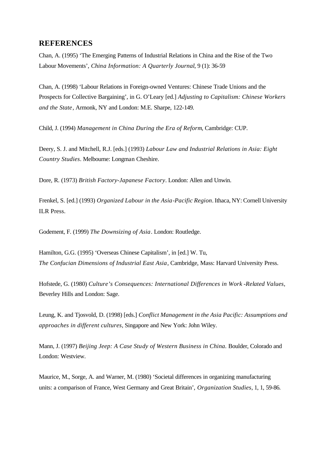### **REFERENCES**

Chan, A. (1995) 'The Emerging Patterns of Industrial Relations in China and the Rise of the Two Labour Movements', *China Information: A Quarterly Journal*, 9 (1): 36-59

Chan, A. (1998) 'Labour Relations in Foreign-owned Ventures: Chinese Trade Unions and the Prospects for Collective Bargaining', in G. O'Leary [ed.] *Adjusting to Capitalism: Chinese Workers and the State*, Armonk, NY and London: M.E. Sharpe, 122-149.

Child, J. (1994) *Management in China During the Era of Reform*, Cambridge: CUP.

Deery, S. J. and Mitchell, R.J. [eds.] (1993) *Labour Law and Industrial Relations in Asia: Eight Country Studies*. Melbourne: Longman Cheshire.

Dore, R. (1973) *British Factory-Japanese Factory*. London: Allen and Unwin.

Frenkel, S. [ed.] (1993) *Organized Labour in the Asia-Pacific Region*. Ithaca, NY: Cornell University ILR Press.

Godement, F. (1999) *The Downsizing of Asia*. London: Routledge.

Hamilton, G.G. (1995) 'Overseas Chinese Capitalism', in [ed.] W. Tu, *The Confucian Dimensions of Industrial East Asia*, Cambridge, Mass: Harvard University Press.

Hofstede, G. (1980) *Culture's Consequences: International Differences in Work -Related Values*, Beverley Hills and London: Sage.

Leung, K. and Tjosvold, D. (1998) [eds.] *Conflict Management in the Asia Pacific: Assumptions and approaches in different cultures*, Singapore and New York: John Wiley.

Mann, J. (1997) *Beijing Jeep: A Case Study of Western Business in China.* Boulder, Colorado and London: Westview.

Maurice, M., Sorge, A. and Warner, M. (1980) 'Societal differences in organizing manufacturing units: a comparison of France, West Germany and Great Britain', *Organization Studies*, 1, 1, 59-86.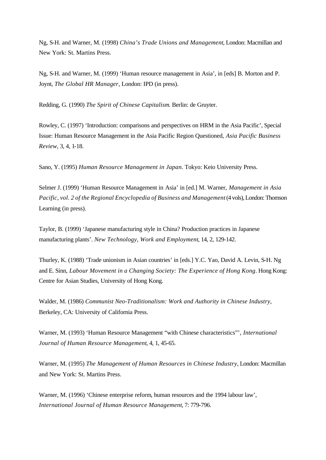Ng, S-H. and Warner, M. (1998) *China's Trade Unions and Management*, London: Macmillan and New York: St. Martins Press.

Ng, S-H. and Warner, M. (1999) 'Human resource management in Asia', in [eds] B. Morton and P. Joynt, *The Global HR Manager*, London: IPD (in press).

Redding, G. (1990) *The Spirit of Chinese Capitalism*. Berlin: de Gruyter.

Rowley, C. (1997) 'Introduction: comparisons and perspectives on HRM in the Asia Pacific', Special Issue: Human Resource Management in the Asia Pacific Region Questioned, *Asia Pacific Business Review*, 3, 4, 1-18.

Sano, Y. (1995) *Human Resource Management in Japan*. Tokyo: Keio University Press.

Selmer J. (1999) 'Human Resource Management in Asia' in [ed.] M. Warner, *Management in Asia Pacific, vol. 2 of the Regional Encyclopedia of Business and Management* (4 vols), London: Thomson Learning (in press).

Taylor, B. (1999) 'Japanese manufacturing style in China? Production practices in Japanese manufacturing plants'. *New Technology, Work and Employment*, 14, 2, 129-142.

Thurley, K. (1988) 'Trade unionism in Asian countries' in [eds.] Y.C. Yao, David A. Levin, S-H. Ng and E. Sinn, *Labour Movement in a Changing Society: The Experience of Hong Kong*. Hong Kong: Centre for Asian Studies, University of Hong Kong.

Walder, M. (1986) *Communist Neo-Traditionalism: Work and Authority in Chinese Industry*, Berkeley, CA: University of California Press.

Warner, M. (1993) 'Human Resource Management "with Chinese characteristics"', *International Journal of Human Resource Management*, 4, 1, 45-65.

Warner, M. (1995) *The Management of Human Resources in Chinese Industry*, London: Macmillan and New York: St. Martins Press.

Warner, M. (1996) 'Chinese enterprise reform, human resources and the 1994 labour law', *International Journal of Human Resource Management*, 7: 779-796.